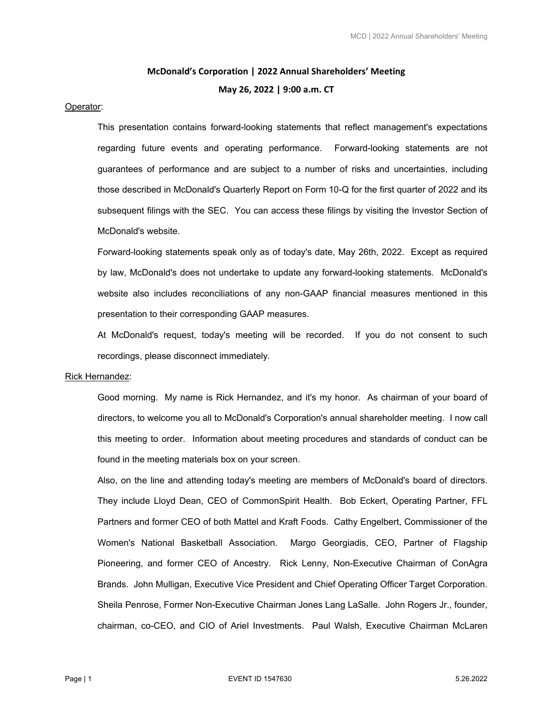# **McDonald's Corporation | 2022 Annual Shareholders' Meeting May 26, 2022 | 9:00 a.m. CT**

#### Operator:

This presentation contains forward-looking statements that reflect management's expectations regarding future events and operating performance. Forward-looking statements are not guarantees of performance and are subject to a number of risks and uncertainties, including those described in McDonald's Quarterly Report on Form 10-Q for the first quarter of 2022 and its subsequent filings with the SEC. You can access these filings by visiting the Investor Section of McDonald's website.

Forward-looking statements speak only as of today's date, May 26th, 2022. Except as required by law, McDonald's does not undertake to update any forward-looking statements. McDonald's website also includes reconciliations of any non-GAAP financial measures mentioned in this presentation to their corresponding GAAP measures.

At McDonald's request, today's meeting will be recorded. If you do not consent to such recordings, please disconnect immediately.

## Rick Hernandez:

Good morning. My name is Rick Hernandez, and it's my honor. As chairman of your board of directors, to welcome you all to McDonald's Corporation's annual shareholder meeting. I now call this meeting to order. Information about meeting procedures and standards of conduct can be found in the meeting materials box on your screen.

Also, on the line and attending today's meeting are members of McDonald's board of directors. They include Lloyd Dean, CEO of CommonSpirit Health. Bob Eckert, Operating Partner, FFL Partners and former CEO of both Mattel and Kraft Foods. Cathy Engelbert, Commissioner of the Women's National Basketball Association. Margo Georgiadis, CEO, Partner of Flagship Pioneering, and former CEO of Ancestry. Rick Lenny, Non-Executive Chairman of ConAgra Brands. John Mulligan, Executive Vice President and Chief Operating Officer Target Corporation. Sheila Penrose, Former Non-Executive Chairman Jones Lang LaSalle. John Rogers Jr., founder, chairman, co-CEO, and CIO of Ariel Investments. Paul Walsh, Executive Chairman McLaren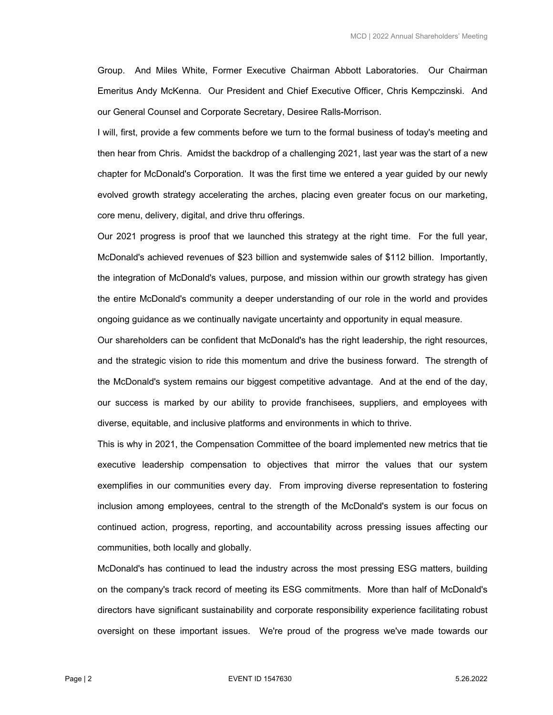Group. And Miles White, Former Executive Chairman Abbott Laboratories. Our Chairman Emeritus Andy McKenna. Our President and Chief Executive Officer, Chris Kempczinski. And our General Counsel and Corporate Secretary, Desiree Ralls-Morrison.

I will, first, provide a few comments before we turn to the formal business of today's meeting and then hear from Chris. Amidst the backdrop of a challenging 2021, last year was the start of a new chapter for McDonald's Corporation. It was the first time we entered a year guided by our newly evolved growth strategy accelerating the arches, placing even greater focus on our marketing, core menu, delivery, digital, and drive thru offerings.

Our 2021 progress is proof that we launched this strategy at the right time. For the full year, McDonald's achieved revenues of \$23 billion and systemwide sales of \$112 billion. Importantly, the integration of McDonald's values, purpose, and mission within our growth strategy has given the entire McDonald's community a deeper understanding of our role in the world and provides ongoing guidance as we continually navigate uncertainty and opportunity in equal measure.

Our shareholders can be confident that McDonald's has the right leadership, the right resources, and the strategic vision to ride this momentum and drive the business forward. The strength of the McDonald's system remains our biggest competitive advantage. And at the end of the day, our success is marked by our ability to provide franchisees, suppliers, and employees with diverse, equitable, and inclusive platforms and environments in which to thrive.

This is why in 2021, the Compensation Committee of the board implemented new metrics that tie executive leadership compensation to objectives that mirror the values that our system exemplifies in our communities every day. From improving diverse representation to fostering inclusion among employees, central to the strength of the McDonald's system is our focus on continued action, progress, reporting, and accountability across pressing issues affecting our communities, both locally and globally.

McDonald's has continued to lead the industry across the most pressing ESG matters, building on the company's track record of meeting its ESG commitments. More than half of McDonald's directors have significant sustainability and corporate responsibility experience facilitating robust oversight on these important issues. We're proud of the progress we've made towards our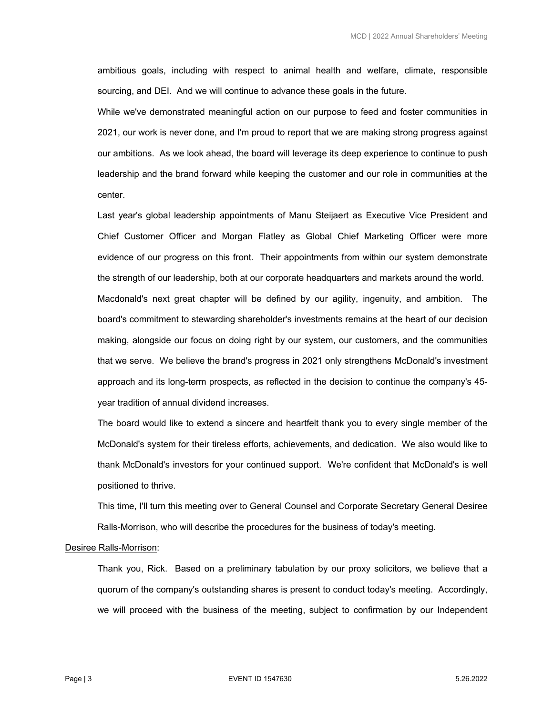ambitious goals, including with respect to animal health and welfare, climate, responsible sourcing, and DEI. And we will continue to advance these goals in the future.

While we've demonstrated meaningful action on our purpose to feed and foster communities in 2021, our work is never done, and I'm proud to report that we are making strong progress against our ambitions. As we look ahead, the board will leverage its deep experience to continue to push leadership and the brand forward while keeping the customer and our role in communities at the center.

Last year's global leadership appointments of Manu Steijaert as Executive Vice President and Chief Customer Officer and Morgan Flatley as Global Chief Marketing Officer were more evidence of our progress on this front. Their appointments from within our system demonstrate the strength of our leadership, both at our corporate headquarters and markets around the world. Macdonald's next great chapter will be defined by our agility, ingenuity, and ambition. The board's commitment to stewarding shareholder's investments remains at the heart of our decision making, alongside our focus on doing right by our system, our customers, and the communities that we serve. We believe the brand's progress in 2021 only strengthens McDonald's investment approach and its long-term prospects, as reflected in the decision to continue the company's 45 year tradition of annual dividend increases.

The board would like to extend a sincere and heartfelt thank you to every single member of the McDonald's system for their tireless efforts, achievements, and dedication. We also would like to thank McDonald's investors for your continued support. We're confident that McDonald's is well positioned to thrive.

This time, I'll turn this meeting over to General Counsel and Corporate Secretary General Desiree Ralls-Morrison, who will describe the procedures for the business of today's meeting.

#### Desiree Ralls-Morrison:

Thank you, Rick. Based on a preliminary tabulation by our proxy solicitors, we believe that a quorum of the company's outstanding shares is present to conduct today's meeting. Accordingly, we will proceed with the business of the meeting, subject to confirmation by our Independent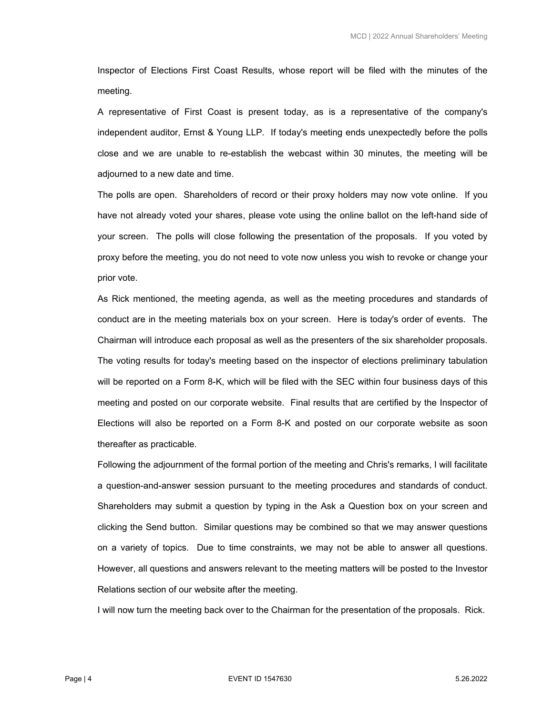Inspector of Elections First Coast Results, whose report will be filed with the minutes of the meeting.

A representative of First Coast is present today, as is a representative of the company's independent auditor, Ernst & Young LLP. If today's meeting ends unexpectedly before the polls close and we are unable to re-establish the webcast within 30 minutes, the meeting will be adjourned to a new date and time.

The polls are open. Shareholders of record or their proxy holders may now vote online. If you have not already voted your shares, please vote using the online ballot on the left-hand side of your screen. The polls will close following the presentation of the proposals. If you voted by proxy before the meeting, you do not need to vote now unless you wish to revoke or change your prior vote.

As Rick mentioned, the meeting agenda, as well as the meeting procedures and standards of conduct are in the meeting materials box on your screen. Here is today's order of events. The Chairman will introduce each proposal as well as the presenters of the six shareholder proposals. The voting results for today's meeting based on the inspector of elections preliminary tabulation will be reported on a Form 8-K, which will be filed with the SEC within four business days of this meeting and posted on our corporate website. Final results that are certified by the Inspector of Elections will also be reported on a Form 8-K and posted on our corporate website as soon thereafter as practicable.

Following the adjournment of the formal portion of the meeting and Chris's remarks, I will facilitate a question-and-answer session pursuant to the meeting procedures and standards of conduct. Shareholders may submit a question by typing in the Ask a Question box on your screen and clicking the Send button. Similar questions may be combined so that we may answer questions on a variety of topics. Due to time constraints, we may not be able to answer all questions. However, all questions and answers relevant to the meeting matters will be posted to the Investor Relations section of our website after the meeting.

I will now turn the meeting back over to the Chairman for the presentation of the proposals. Rick.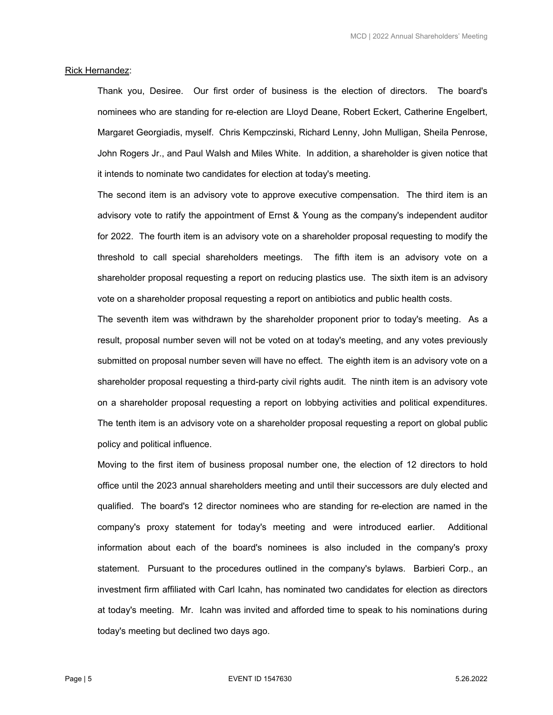#### Rick Hernandez:

Thank you, Desiree. Our first order of business is the election of directors. The board's nominees who are standing for re-election are Lloyd Deane, Robert Eckert, Catherine Engelbert, Margaret Georgiadis, myself. Chris Kempczinski, Richard Lenny, John Mulligan, Sheila Penrose, John Rogers Jr., and Paul Walsh and Miles White. In addition, a shareholder is given notice that it intends to nominate two candidates for election at today's meeting.

The second item is an advisory vote to approve executive compensation. The third item is an advisory vote to ratify the appointment of Ernst & Young as the company's independent auditor for 2022. The fourth item is an advisory vote on a shareholder proposal requesting to modify the threshold to call special shareholders meetings. The fifth item is an advisory vote on a shareholder proposal requesting a report on reducing plastics use. The sixth item is an advisory vote on a shareholder proposal requesting a report on antibiotics and public health costs.

The seventh item was withdrawn by the shareholder proponent prior to today's meeting. As a result, proposal number seven will not be voted on at today's meeting, and any votes previously submitted on proposal number seven will have no effect. The eighth item is an advisory vote on a shareholder proposal requesting a third-party civil rights audit. The ninth item is an advisory vote on a shareholder proposal requesting a report on lobbying activities and political expenditures. The tenth item is an advisory vote on a shareholder proposal requesting a report on global public policy and political influence.

Moving to the first item of business proposal number one, the election of 12 directors to hold office until the 2023 annual shareholders meeting and until their successors are duly elected and qualified. The board's 12 director nominees who are standing for re-election are named in the company's proxy statement for today's meeting and were introduced earlier. Additional information about each of the board's nominees is also included in the company's proxy statement. Pursuant to the procedures outlined in the company's bylaws. Barbieri Corp., an investment firm affiliated with Carl Icahn, has nominated two candidates for election as directors at today's meeting. Mr. Icahn was invited and afforded time to speak to his nominations during today's meeting but declined two days ago.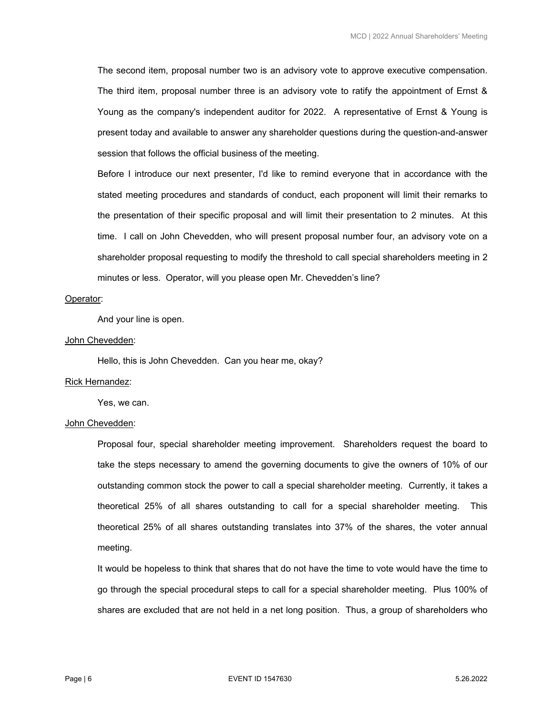The second item, proposal number two is an advisory vote to approve executive compensation. The third item, proposal number three is an advisory vote to ratify the appointment of Ernst & Young as the company's independent auditor for 2022. A representative of Ernst & Young is present today and available to answer any shareholder questions during the question-and-answer session that follows the official business of the meeting.

Before I introduce our next presenter, I'd like to remind everyone that in accordance with the stated meeting procedures and standards of conduct, each proponent will limit their remarks to the presentation of their specific proposal and will limit their presentation to 2 minutes. At this time. I call on John Chevedden, who will present proposal number four, an advisory vote on a shareholder proposal requesting to modify the threshold to call special shareholders meeting in 2 minutes or less. Operator, will you please open Mr. Chevedden's line?

## Operator:

And your line is open.

#### John Chevedden:

Hello, this is John Chevedden. Can you hear me, okay?

## Rick Hernandez:

Yes, we can.

#### John Chevedden:

Proposal four, special shareholder meeting improvement. Shareholders request the board to take the steps necessary to amend the governing documents to give the owners of 10% of our outstanding common stock the power to call a special shareholder meeting. Currently, it takes a theoretical 25% of all shares outstanding to call for a special shareholder meeting. This theoretical 25% of all shares outstanding translates into 37% of the shares, the voter annual meeting.

It would be hopeless to think that shares that do not have the time to vote would have the time to go through the special procedural steps to call for a special shareholder meeting. Plus 100% of shares are excluded that are not held in a net long position. Thus, a group of shareholders who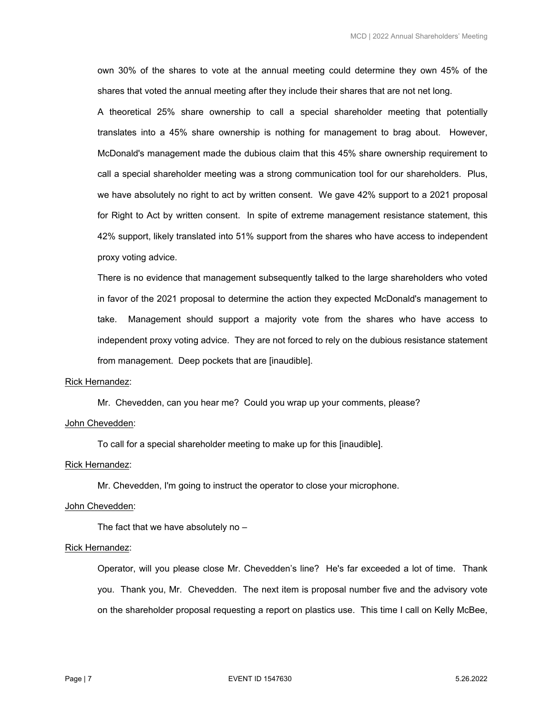own 30% of the shares to vote at the annual meeting could determine they own 45% of the shares that voted the annual meeting after they include their shares that are not net long.

A theoretical 25% share ownership to call a special shareholder meeting that potentially translates into a 45% share ownership is nothing for management to brag about. However, McDonald's management made the dubious claim that this 45% share ownership requirement to call a special shareholder meeting was a strong communication tool for our shareholders. Plus, we have absolutely no right to act by written consent. We gave 42% support to a 2021 proposal for Right to Act by written consent. In spite of extreme management resistance statement, this 42% support, likely translated into 51% support from the shares who have access to independent proxy voting advice.

There is no evidence that management subsequently talked to the large shareholders who voted in favor of the 2021 proposal to determine the action they expected McDonald's management to take. Management should support a majority vote from the shares who have access to independent proxy voting advice. They are not forced to rely on the dubious resistance statement from management. Deep pockets that are [inaudible].

#### Rick Hernandez:

Mr. Chevedden, can you hear me? Could you wrap up your comments, please?

## John Chevedden:

To call for a special shareholder meeting to make up for this [inaudible].

## Rick Hernandez:

Mr. Chevedden, I'm going to instruct the operator to close your microphone.

## John Chevedden:

The fact that we have absolutely no –

#### Rick Hernandez:

Operator, will you please close Mr. Chevedden's line? He's far exceeded a lot of time. Thank you. Thank you, Mr. Chevedden. The next item is proposal number five and the advisory vote on the shareholder proposal requesting a report on plastics use. This time I call on Kelly McBee,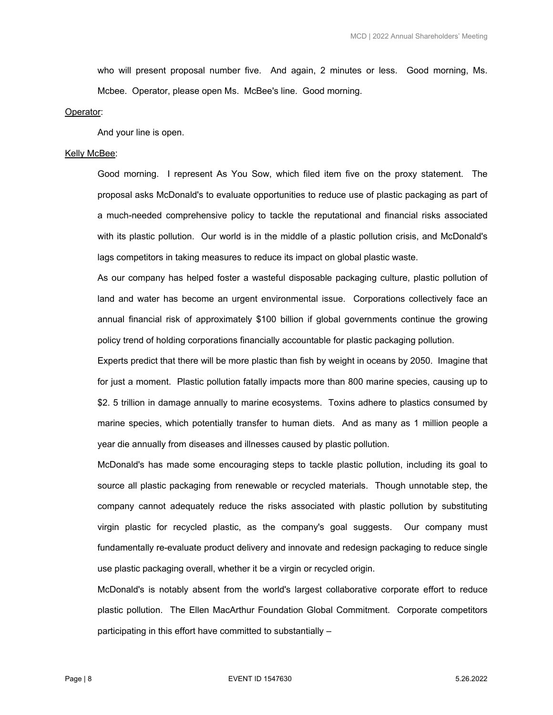who will present proposal number five. And again, 2 minutes or less. Good morning, Ms. Mcbee. Operator, please open Ms. McBee's line. Good morning.

#### Operator:

And your line is open.

## Kelly McBee:

Good morning. I represent As You Sow, which filed item five on the proxy statement. The proposal asks McDonald's to evaluate opportunities to reduce use of plastic packaging as part of a much-needed comprehensive policy to tackle the reputational and financial risks associated with its plastic pollution. Our world is in the middle of a plastic pollution crisis, and McDonald's lags competitors in taking measures to reduce its impact on global plastic waste.

As our company has helped foster a wasteful disposable packaging culture, plastic pollution of land and water has become an urgent environmental issue. Corporations collectively face an annual financial risk of approximately \$100 billion if global governments continue the growing policy trend of holding corporations financially accountable for plastic packaging pollution.

Experts predict that there will be more plastic than fish by weight in oceans by 2050. Imagine that for just a moment. Plastic pollution fatally impacts more than 800 marine species, causing up to \$2. 5 trillion in damage annually to marine ecosystems. Toxins adhere to plastics consumed by marine species, which potentially transfer to human diets. And as many as 1 million people a year die annually from diseases and illnesses caused by plastic pollution.

McDonald's has made some encouraging steps to tackle plastic pollution, including its goal to source all plastic packaging from renewable or recycled materials. Though unnotable step, the company cannot adequately reduce the risks associated with plastic pollution by substituting virgin plastic for recycled plastic, as the company's goal suggests. Our company must fundamentally re-evaluate product delivery and innovate and redesign packaging to reduce single use plastic packaging overall, whether it be a virgin or recycled origin.

McDonald's is notably absent from the world's largest collaborative corporate effort to reduce plastic pollution. The Ellen MacArthur Foundation Global Commitment. Corporate competitors participating in this effort have committed to substantially –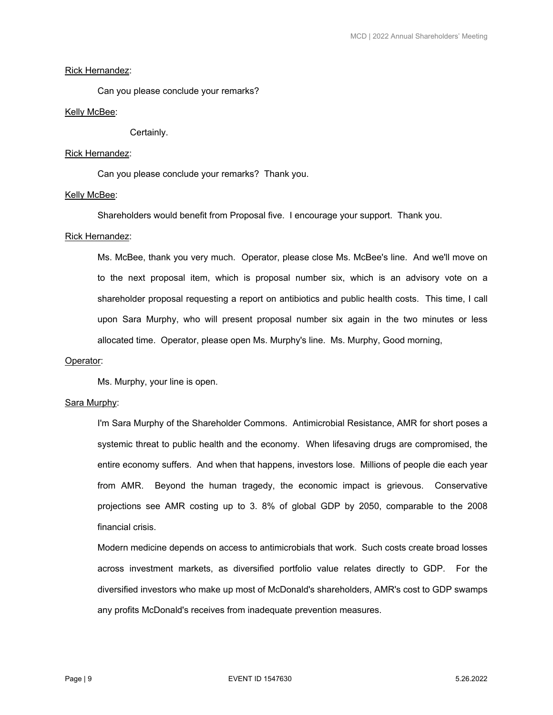# Rick Hernandez:

Can you please conclude your remarks?

## Kelly McBee:

Certainly.

## Rick Hernandez:

Can you please conclude your remarks? Thank you.

## Kelly McBee:

Shareholders would benefit from Proposal five. I encourage your support. Thank you.

## Rick Hernandez:

Ms. McBee, thank you very much. Operator, please close Ms. McBee's line. And we'll move on to the next proposal item, which is proposal number six, which is an advisory vote on a shareholder proposal requesting a report on antibiotics and public health costs. This time, I call upon Sara Murphy, who will present proposal number six again in the two minutes or less allocated time. Operator, please open Ms. Murphy's line. Ms. Murphy, Good morning,

## Operator:

Ms. Murphy, your line is open.

## Sara Murphy:

I'm Sara Murphy of the Shareholder Commons. Antimicrobial Resistance, AMR for short poses a systemic threat to public health and the economy. When lifesaving drugs are compromised, the entire economy suffers. And when that happens, investors lose. Millions of people die each year from AMR. Beyond the human tragedy, the economic impact is grievous. Conservative projections see AMR costing up to 3. 8% of global GDP by 2050, comparable to the 2008 financial crisis.

 Modern medicine depends on access to antimicrobials that work. Such costs create broad losses across investment markets, as diversified portfolio value relates directly to GDP. For the diversified investors who make up most of McDonald's shareholders, AMR's cost to GDP swamps any profits McDonald's receives from inadequate prevention measures.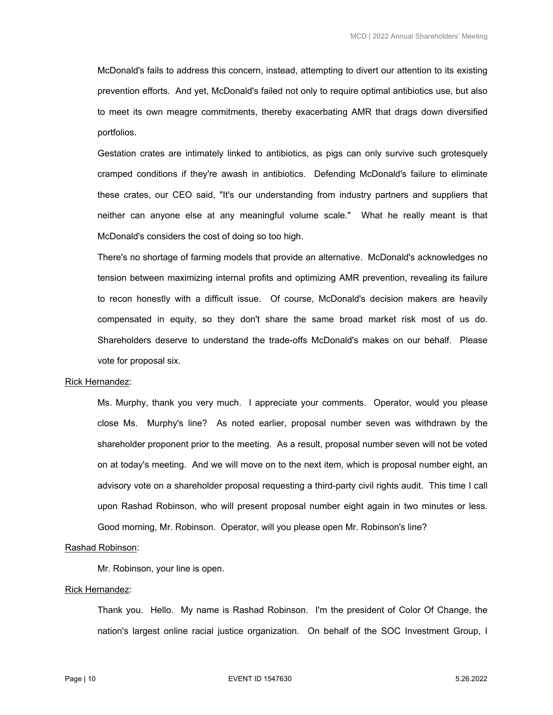McDonald's fails to address this concern, instead, attempting to divert our attention to its existing prevention efforts. And yet, McDonald's failed not only to require optimal antibiotics use, but also to meet its own meagre commitments, thereby exacerbating AMR that drags down diversified portfolios.

 Gestation crates are intimately linked to antibiotics, as pigs can only survive such grotesquely cramped conditions if they're awash in antibiotics. Defending McDonald's failure to eliminate these crates, our CEO said, "It's our understanding from industry partners and suppliers that neither can anyone else at any meaningful volume scale." What he really meant is that McDonald's considers the cost of doing so too high.

 There's no shortage of farming models that provide an alternative. McDonald's acknowledges no tension between maximizing internal profits and optimizing AMR prevention, revealing its failure to recon honestly with a difficult issue. Of course, McDonald's decision makers are heavily compensated in equity, so they don't share the same broad market risk most of us do. Shareholders deserve to understand the trade-offs McDonald's makes on our behalf. Please vote for proposal six.

#### Rick Hernandez:

 Ms. Murphy, thank you very much. I appreciate your comments. Operator, would you please close Ms. Murphy's line? As noted earlier, proposal number seven was withdrawn by the shareholder proponent prior to the meeting. As a result, proposal number seven will not be voted on at today's meeting. And we will move on to the next item, which is proposal number eight, an advisory vote on a shareholder proposal requesting a third-party civil rights audit. This time I call upon Rashad Robinson, who will present proposal number eight again in two minutes or less. Good morning, Mr. Robinson. Operator, will you please open Mr. Robinson's line?

## Rashad Robinson:

Mr. Robinson, your line is open.

## Rick Hernandez:

 Thank you. Hello. My name is Rashad Robinson. I'm the president of Color Of Change, the nation's largest online racial justice organization. On behalf of the SOC Investment Group, I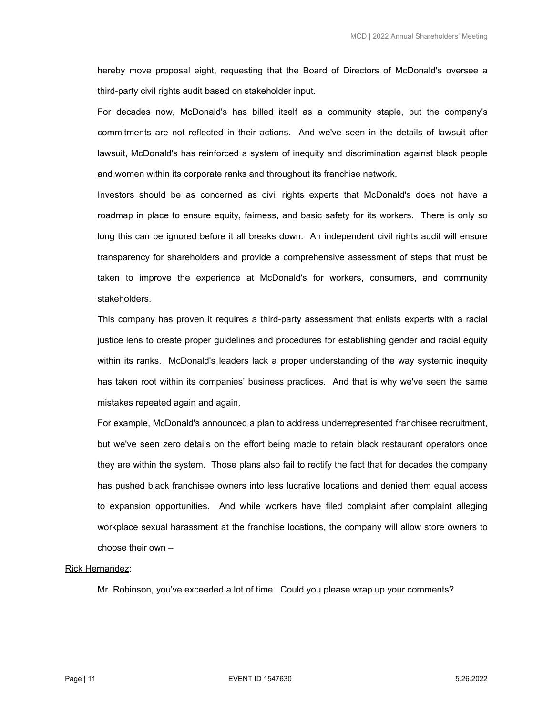hereby move proposal eight, requesting that the Board of Directors of McDonald's oversee a third-party civil rights audit based on stakeholder input.

 For decades now, McDonald's has billed itself as a community staple, but the company's commitments are not reflected in their actions. And we've seen in the details of lawsuit after lawsuit, McDonald's has reinforced a system of inequity and discrimination against black people and women within its corporate ranks and throughout its franchise network.

 Investors should be as concerned as civil rights experts that McDonald's does not have a roadmap in place to ensure equity, fairness, and basic safety for its workers. There is only so long this can be ignored before it all breaks down. An independent civil rights audit will ensure transparency for shareholders and provide a comprehensive assessment of steps that must be taken to improve the experience at McDonald's for workers, consumers, and community stakeholders.

 This company has proven it requires a third-party assessment that enlists experts with a racial justice lens to create proper guidelines and procedures for establishing gender and racial equity within its ranks. McDonald's leaders lack a proper understanding of the way systemic inequity has taken root within its companies' business practices. And that is why we've seen the same mistakes repeated again and again.

 For example, McDonald's announced a plan to address underrepresented franchisee recruitment, but we've seen zero details on the effort being made to retain black restaurant operators once they are within the system. Those plans also fail to rectify the fact that for decades the company has pushed black franchisee owners into less lucrative locations and denied them equal access to expansion opportunities. And while workers have filed complaint after complaint alleging workplace sexual harassment at the franchise locations, the company will allow store owners to choose their own –

#### Rick Hernandez:

Mr. Robinson, you've exceeded a lot of time. Could you please wrap up your comments?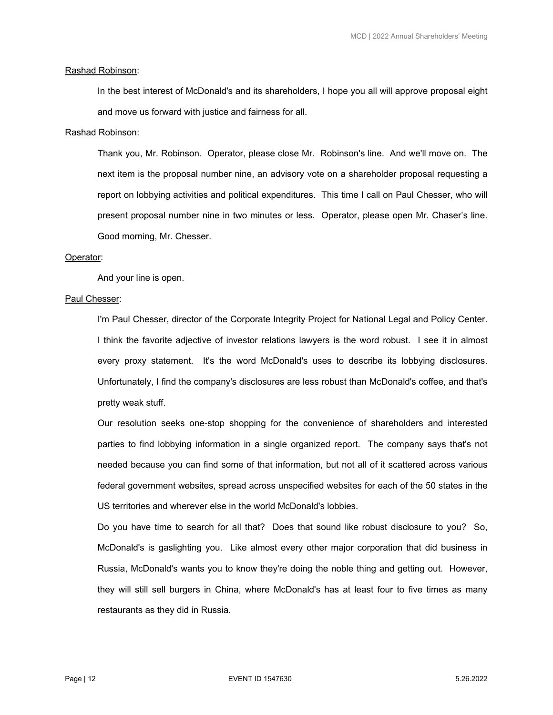## Rashad Robinson:

 In the best interest of McDonald's and its shareholders, I hope you all will approve proposal eight and move us forward with justice and fairness for all.

#### Rashad Robinson:

 Thank you, Mr. Robinson. Operator, please close Mr. Robinson's line. And we'll move on. The next item is the proposal number nine, an advisory vote on a shareholder proposal requesting a report on lobbying activities and political expenditures. This time I call on Paul Chesser, who will present proposal number nine in two minutes or less. Operator, please open Mr. Chaser's line. Good morning, Mr. Chesser.

#### Operator:

And your line is open.

## Paul Chesser:

 I'm Paul Chesser, director of the Corporate Integrity Project for National Legal and Policy Center. I think the favorite adjective of investor relations lawyers is the word robust. I see it in almost every proxy statement. It's the word McDonald's uses to describe its lobbying disclosures. Unfortunately, I find the company's disclosures are less robust than McDonald's coffee, and that's pretty weak stuff.

 Our resolution seeks one-stop shopping for the convenience of shareholders and interested parties to find lobbying information in a single organized report. The company says that's not needed because you can find some of that information, but not all of it scattered across various federal government websites, spread across unspecified websites for each of the 50 states in the US territories and wherever else in the world McDonald's lobbies.

 Do you have time to search for all that? Does that sound like robust disclosure to you? So, McDonald's is gaslighting you. Like almost every other major corporation that did business in Russia, McDonald's wants you to know they're doing the noble thing and getting out. However, they will still sell burgers in China, where McDonald's has at least four to five times as many restaurants as they did in Russia.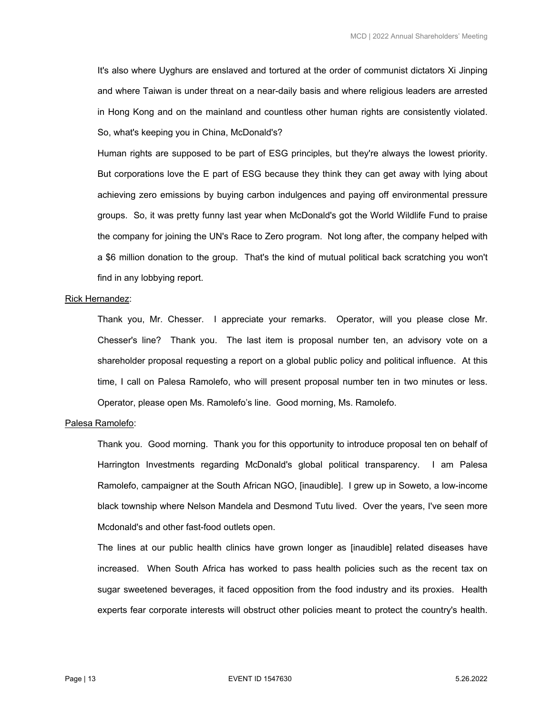It's also where Uyghurs are enslaved and tortured at the order of communist dictators Xi Jinping and where Taiwan is under threat on a near-daily basis and where religious leaders are arrested in Hong Kong and on the mainland and countless other human rights are consistently violated. So, what's keeping you in China, McDonald's?

 Human rights are supposed to be part of ESG principles, but they're always the lowest priority. But corporations love the E part of ESG because they think they can get away with lying about achieving zero emissions by buying carbon indulgences and paying off environmental pressure groups. So, it was pretty funny last year when McDonald's got the World Wildlife Fund to praise the company for joining the UN's Race to Zero program. Not long after, the company helped with a \$6 million donation to the group. That's the kind of mutual political back scratching you won't find in any lobbying report.

## Rick Hernandez:

 Thank you, Mr. Chesser. I appreciate your remarks. Operator, will you please close Mr. Chesser's line? Thank you. The last item is proposal number ten, an advisory vote on a shareholder proposal requesting a report on a global public policy and political influence. At this time, I call on Palesa Ramolefo, who will present proposal number ten in two minutes or less. Operator, please open Ms. Ramolefo's line. Good morning, Ms. Ramolefo.

## Palesa Ramolefo:

 Thank you. Good morning. Thank you for this opportunity to introduce proposal ten on behalf of Harrington Investments regarding McDonald's global political transparency. I am Palesa Ramolefo, campaigner at the South African NGO, [inaudible]. I grew up in Soweto, a low-income black township where Nelson Mandela and Desmond Tutu lived. Over the years, I've seen more Mcdonald's and other fast-food outlets open.

 The lines at our public health clinics have grown longer as [inaudible] related diseases have increased. When South Africa has worked to pass health policies such as the recent tax on sugar sweetened beverages, it faced opposition from the food industry and its proxies. Health experts fear corporate interests will obstruct other policies meant to protect the country's health.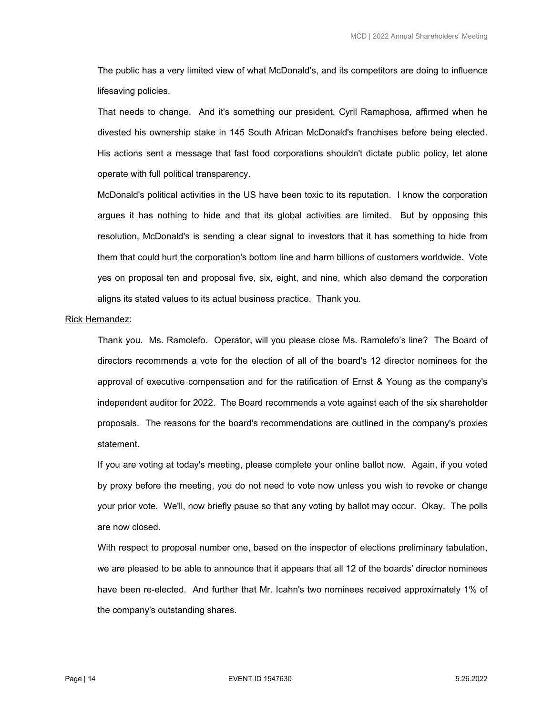The public has a very limited view of what McDonald's, and its competitors are doing to influence lifesaving policies.

 That needs to change. And it's something our president, Cyril Ramaphosa, affirmed when he divested his ownership stake in 145 South African McDonald's franchises before being elected. His actions sent a message that fast food corporations shouldn't dictate public policy, let alone operate with full political transparency.

 McDonald's political activities in the US have been toxic to its reputation. I know the corporation argues it has nothing to hide and that its global activities are limited. But by opposing this resolution, McDonald's is sending a clear signal to investors that it has something to hide from them that could hurt the corporation's bottom line and harm billions of customers worldwide. Vote yes on proposal ten and proposal five, six, eight, and nine, which also demand the corporation aligns its stated values to its actual business practice. Thank you.

#### Rick Hernandez:

 Thank you. Ms. Ramolefo. Operator, will you please close Ms. Ramolefo's line? The Board of directors recommends a vote for the election of all of the board's 12 director nominees for the approval of executive compensation and for the ratification of Ernst & Young as the company's independent auditor for 2022. The Board recommends a vote against each of the six shareholder proposals. The reasons for the board's recommendations are outlined in the company's proxies statement.

 If you are voting at today's meeting, please complete your online ballot now. Again, if you voted by proxy before the meeting, you do not need to vote now unless you wish to revoke or change your prior vote. We'll, now briefly pause so that any voting by ballot may occur. Okay. The polls are now closed.

 With respect to proposal number one, based on the inspector of elections preliminary tabulation, we are pleased to be able to announce that it appears that all 12 of the boards' director nominees have been re-elected. And further that Mr. Icahn's two nominees received approximately 1% of the company's outstanding shares.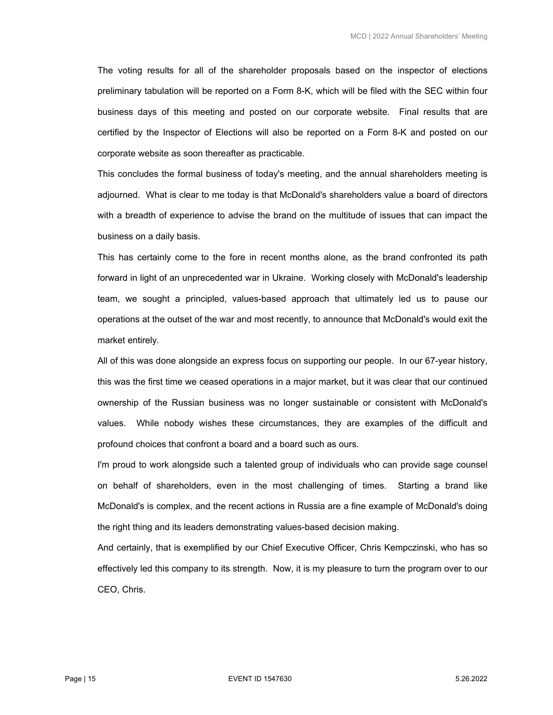The voting results for all of the shareholder proposals based on the inspector of elections preliminary tabulation will be reported on a Form 8-K, which will be filed with the SEC within four business days of this meeting and posted on our corporate website. Final results that are certified by the Inspector of Elections will also be reported on a Form 8-K and posted on our corporate website as soon thereafter as practicable.

 This concludes the formal business of today's meeting, and the annual shareholders meeting is adjourned. What is clear to me today is that McDonald's shareholders value a board of directors with a breadth of experience to advise the brand on the multitude of issues that can impact the business on a daily basis.

 This has certainly come to the fore in recent months alone, as the brand confronted its path forward in light of an unprecedented war in Ukraine. Working closely with McDonald's leadership team, we sought a principled, values-based approach that ultimately led us to pause our operations at the outset of the war and most recently, to announce that McDonald's would exit the market entirely.

 All of this was done alongside an express focus on supporting our people. In our 67-year history, this was the first time we ceased operations in a major market, but it was clear that our continued ownership of the Russian business was no longer sustainable or consistent with McDonald's values. While nobody wishes these circumstances, they are examples of the difficult and profound choices that confront a board and a board such as ours.

 I'm proud to work alongside such a talented group of individuals who can provide sage counsel on behalf of shareholders, even in the most challenging of times. Starting a brand like McDonald's is complex, and the recent actions in Russia are a fine example of McDonald's doing the right thing and its leaders demonstrating values-based decision making.

 And certainly, that is exemplified by our Chief Executive Officer, Chris Kempczinski, who has so effectively led this company to its strength. Now, it is my pleasure to turn the program over to our CEO, Chris.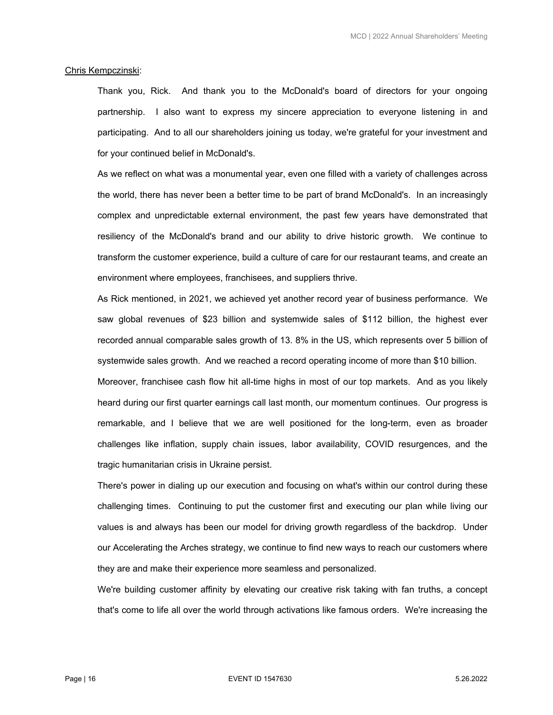## Chris Kempczinski:

 Thank you, Rick. And thank you to the McDonald's board of directors for your ongoing partnership. I also want to express my sincere appreciation to everyone listening in and participating. And to all our shareholders joining us today, we're grateful for your investment and for your continued belief in McDonald's.

 As we reflect on what was a monumental year, even one filled with a variety of challenges across the world, there has never been a better time to be part of brand McDonald's. In an increasingly complex and unpredictable external environment, the past few years have demonstrated that resiliency of the McDonald's brand and our ability to drive historic growth. We continue to transform the customer experience, build a culture of care for our restaurant teams, and create an environment where employees, franchisees, and suppliers thrive.

 As Rick mentioned, in 2021, we achieved yet another record year of business performance. We saw global revenues of \$23 billion and systemwide sales of \$112 billion, the highest ever recorded annual comparable sales growth of 13. 8% in the US, which represents over 5 billion of systemwide sales growth. And we reached a record operating income of more than \$10 billion.

 Moreover, franchisee cash flow hit all-time highs in most of our top markets. And as you likely heard during our first quarter earnings call last month, our momentum continues. Our progress is remarkable, and I believe that we are well positioned for the long-term, even as broader challenges like inflation, supply chain issues, labor availability, COVID resurgences, and the tragic humanitarian crisis in Ukraine persist.

 There's power in dialing up our execution and focusing on what's within our control during these challenging times. Continuing to put the customer first and executing our plan while living our values is and always has been our model for driving growth regardless of the backdrop. Under our Accelerating the Arches strategy, we continue to find new ways to reach our customers where they are and make their experience more seamless and personalized.

 We're building customer affinity by elevating our creative risk taking with fan truths, a concept that's come to life all over the world through activations like famous orders. We're increasing the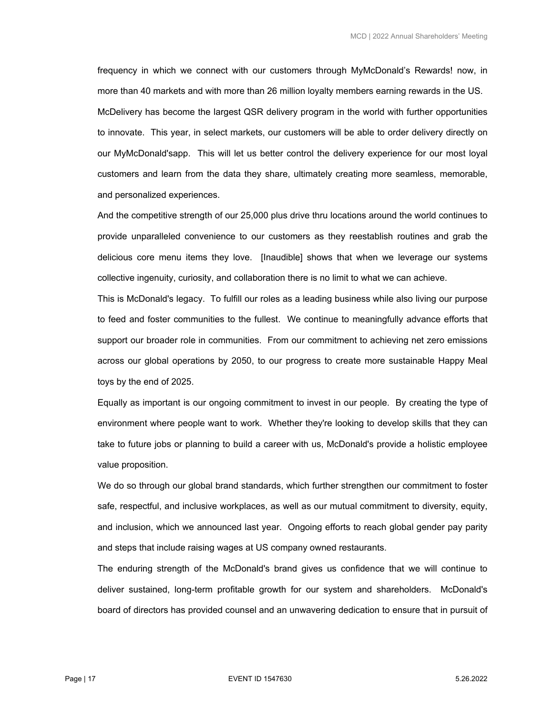frequency in which we connect with our customers through MyMcDonald's Rewards! now, in more than 40 markets and with more than 26 million loyalty members earning rewards in the US. McDelivery has become the largest QSR delivery program in the world with further opportunities to innovate. This year, in select markets, our customers will be able to order delivery directly on our MyMcDonald'sapp. This will let us better control the delivery experience for our most loyal customers and learn from the data they share, ultimately creating more seamless, memorable, and personalized experiences.

 And the competitive strength of our 25,000 plus drive thru locations around the world continues to provide unparalleled convenience to our customers as they reestablish routines and grab the delicious core menu items they love. [Inaudible] shows that when we leverage our systems collective ingenuity, curiosity, and collaboration there is no limit to what we can achieve.

 This is McDonald's legacy. To fulfill our roles as a leading business while also living our purpose to feed and foster communities to the fullest. We continue to meaningfully advance efforts that support our broader role in communities. From our commitment to achieving net zero emissions across our global operations by 2050, to our progress to create more sustainable Happy Meal toys by the end of 2025.

 Equally as important is our ongoing commitment to invest in our people. By creating the type of environment where people want to work. Whether they're looking to develop skills that they can take to future jobs or planning to build a career with us, McDonald's provide a holistic employee value proposition.

 We do so through our global brand standards, which further strengthen our commitment to foster safe, respectful, and inclusive workplaces, as well as our mutual commitment to diversity, equity, and inclusion, which we announced last year. Ongoing efforts to reach global gender pay parity and steps that include raising wages at US company owned restaurants.

 The enduring strength of the McDonald's brand gives us confidence that we will continue to deliver sustained, long-term profitable growth for our system and shareholders. McDonald's board of directors has provided counsel and an unwavering dedication to ensure that in pursuit of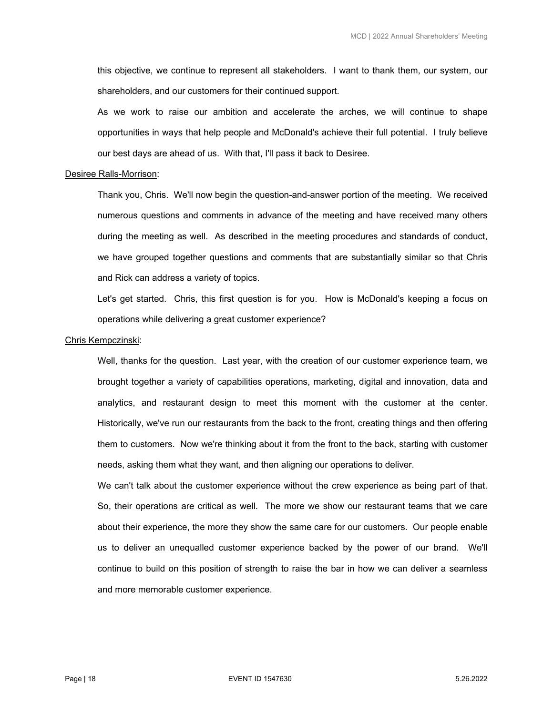this objective, we continue to represent all stakeholders. I want to thank them, our system, our shareholders, and our customers for their continued support.

 As we work to raise our ambition and accelerate the arches, we will continue to shape opportunities in ways that help people and McDonald's achieve their full potential. I truly believe our best days are ahead of us. With that, I'll pass it back to Desiree.

#### Desiree Ralls-Morrison:

 Thank you, Chris. We'll now begin the question-and-answer portion of the meeting. We received numerous questions and comments in advance of the meeting and have received many others during the meeting as well. As described in the meeting procedures and standards of conduct, we have grouped together questions and comments that are substantially similar so that Chris and Rick can address a variety of topics.

 Let's get started. Chris, this first question is for you. How is McDonald's keeping a focus on operations while delivering a great customer experience?

#### Chris Kempczinski:

 Well, thanks for the question. Last year, with the creation of our customer experience team, we brought together a variety of capabilities operations, marketing, digital and innovation, data and analytics, and restaurant design to meet this moment with the customer at the center. Historically, we've run our restaurants from the back to the front, creating things and then offering them to customers. Now we're thinking about it from the front to the back, starting with customer needs, asking them what they want, and then aligning our operations to deliver.

We can't talk about the customer experience without the crew experience as being part of that. So, their operations are critical as well. The more we show our restaurant teams that we care about their experience, the more they show the same care for our customers. Our people enable us to deliver an unequalled customer experience backed by the power of our brand. We'll continue to build on this position of strength to raise the bar in how we can deliver a seamless and more memorable customer experience.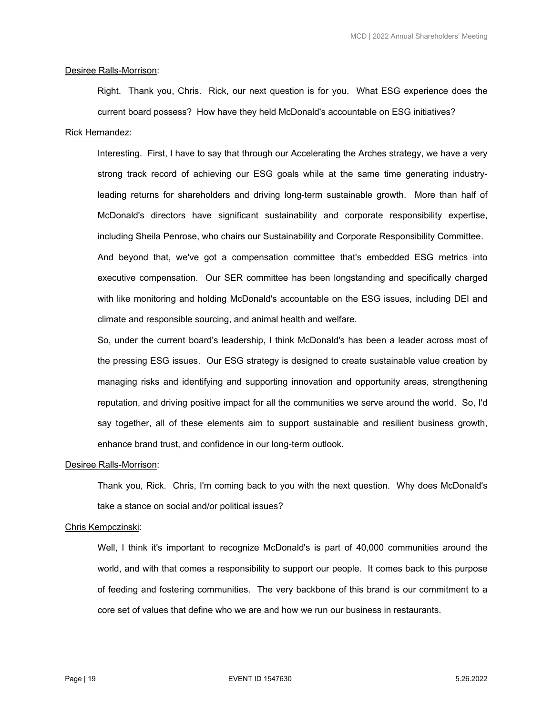## Desiree Ralls-Morrison:

 Right. Thank you, Chris. Rick, our next question is for you. What ESG experience does the current board possess? How have they held McDonald's accountable on ESG initiatives?

# Rick Hernandez:

 Interesting. First, I have to say that through our Accelerating the Arches strategy, we have a very strong track record of achieving our ESG goals while at the same time generating industryleading returns for shareholders and driving long-term sustainable growth. More than half of McDonald's directors have significant sustainability and corporate responsibility expertise, including Sheila Penrose, who chairs our Sustainability and Corporate Responsibility Committee. And beyond that, we've got a compensation committee that's embedded ESG metrics into executive compensation. Our SER committee has been longstanding and specifically charged with like monitoring and holding McDonald's accountable on the ESG issues, including DEI and climate and responsible sourcing, and animal health and welfare.

 So, under the current board's leadership, I think McDonald's has been a leader across most of the pressing ESG issues. Our ESG strategy is designed to create sustainable value creation by managing risks and identifying and supporting innovation and opportunity areas, strengthening reputation, and driving positive impact for all the communities we serve around the world. So, I'd say together, all of these elements aim to support sustainable and resilient business growth, enhance brand trust, and confidence in our long-term outlook.

#### Desiree Ralls-Morrison:

 Thank you, Rick. Chris, I'm coming back to you with the next question. Why does McDonald's take a stance on social and/or political issues?

# Chris Kempczinski:

Well, I think it's important to recognize McDonald's is part of 40,000 communities around the world, and with that comes a responsibility to support our people. It comes back to this purpose of feeding and fostering communities. The very backbone of this brand is our commitment to a core set of values that define who we are and how we run our business in restaurants.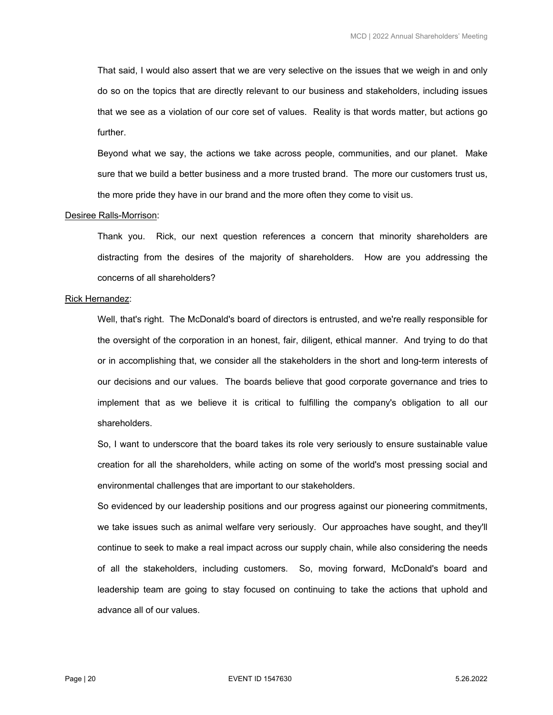That said, I would also assert that we are very selective on the issues that we weigh in and only do so on the topics that are directly relevant to our business and stakeholders, including issues that we see as a violation of our core set of values. Reality is that words matter, but actions go further.

 Beyond what we say, the actions we take across people, communities, and our planet. Make sure that we build a better business and a more trusted brand. The more our customers trust us, the more pride they have in our brand and the more often they come to visit us.

## Desiree Ralls-Morrison:

 Thank you. Rick, our next question references a concern that minority shareholders are distracting from the desires of the majority of shareholders. How are you addressing the concerns of all shareholders?

#### Rick Hernandez:

 Well, that's right. The McDonald's board of directors is entrusted, and we're really responsible for the oversight of the corporation in an honest, fair, diligent, ethical manner. And trying to do that or in accomplishing that, we consider all the stakeholders in the short and long-term interests of our decisions and our values. The boards believe that good corporate governance and tries to implement that as we believe it is critical to fulfilling the company's obligation to all our shareholders.

 So, I want to underscore that the board takes its role very seriously to ensure sustainable value creation for all the shareholders, while acting on some of the world's most pressing social and environmental challenges that are important to our stakeholders.

 So evidenced by our leadership positions and our progress against our pioneering commitments, we take issues such as animal welfare very seriously. Our approaches have sought, and they'll continue to seek to make a real impact across our supply chain, while also considering the needs of all the stakeholders, including customers. So, moving forward, McDonald's board and leadership team are going to stay focused on continuing to take the actions that uphold and advance all of our values.